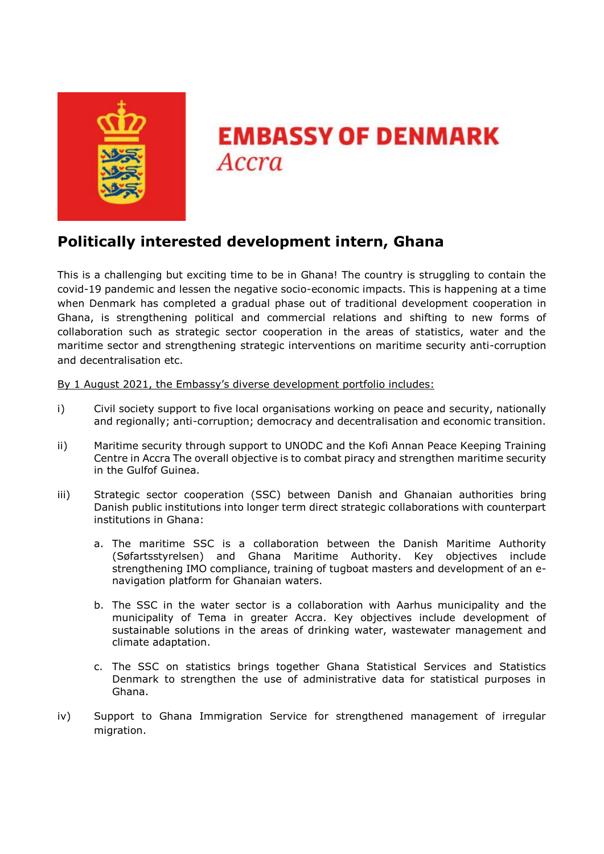

# **EMBASSY OF DENMARK Accra**

# **Politically interested development intern, Ghana**

This is a challenging but exciting time to be in Ghana! The country is struggling to contain the covid-19 pandemic and lessen the negative socio-economic impacts. This is happening at a time when Denmark has completed a gradual phase out of traditional development cooperation in Ghana, is strengthening political and commercial relations and shifting to new forms of collaboration such as strategic sector cooperation in the areas of statistics, water and the maritime sector and strengthening strategic interventions on maritime security anti-corruption and decentralisation etc.

By 1 August 2021, the Embassy's diverse development portfolio includes:

- i) Civil society support to five local organisations working on peace and security, nationally and regionally; anti-corruption; democracy and decentralisation and economic transition.
- ii) Maritime security through support to UNODC and the Kofi Annan Peace Keeping Training Centre in Accra The overall objective is to combat piracy and strengthen maritime security in the Gulfof Guinea.
- iii) Strategic sector cooperation (SSC) between Danish and Ghanaian authorities bring Danish public institutions into longer term direct strategic collaborations with counterpart institutions in Ghana:
	- a. The maritime SSC is a collaboration between the Danish Maritime Authority (Søfartsstyrelsen) and Ghana Maritime Authority. Key objectives include strengthening IMO compliance, training of tugboat masters and development of an enavigation platform for Ghanaian waters.
	- b. The SSC in the water sector is a collaboration with Aarhus municipality and the municipality of Tema in greater Accra. Key objectives include development of sustainable solutions in the areas of drinking water, wastewater management and climate adaptation.
	- c. The SSC on statistics brings together Ghana Statistical Services and Statistics Denmark to strengthen the use of administrative data for statistical purposes in Ghana.
- iv) Support to Ghana Immigration Service for strengthened management of irregular migration.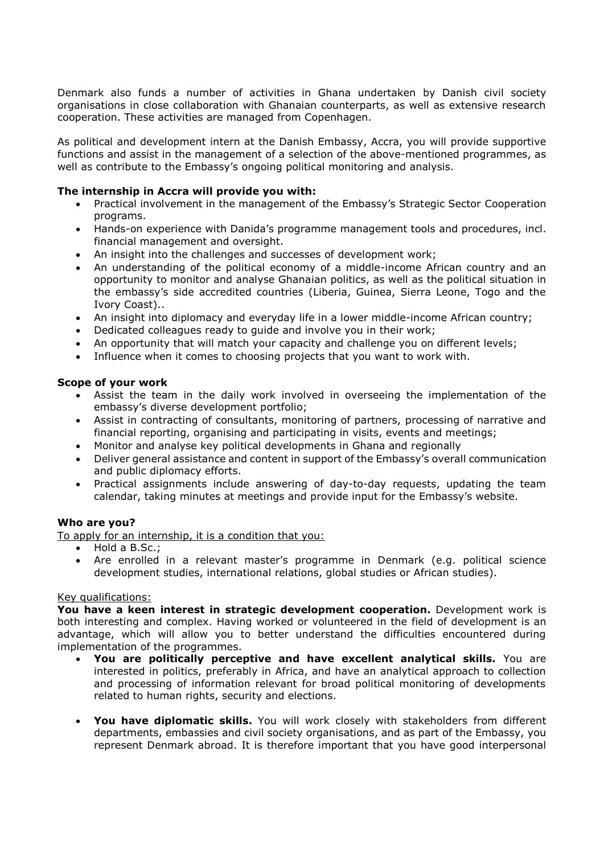Denmark also funds a number of activities in Ghana undertaken by Danish civil society organisations in close collaboration with Ghanaian counterparts, as well as extensive research cooperation. These activities are managed from Copenhagen.

As political and development intern at the Danish Embassy, Accra, you will provide supportive functions and assist in the management of a selection of the above-mentioned programmes, as well as contribute to the Embassy's ongoing political monitoring and analysis.

## **The internship in Accra will provide you with:**

- Practical involvement in the management of the Embassy's Strategic Sector Cooperation programs.
- Hands-on experience with Danida's programme management tools and procedures, incl. financial management and oversight.
- An insight into the challenges and successes of development work;
- An understanding of the political economy of a middle-income African country and an opportunity to monitor and analyse Ghanaian politics, as well as the political situation in the embassy's side accredited countries (Liberia, Guinea, Sierra Leone, Togo and the Ivory Coast)..
- An insight into diplomacy and everyday life in a lower middle-income African country;
- Dedicated colleagues ready to guide and involve you in their work;
- An opportunity that will match your capacity and challenge you on different levels;
- Influence when it comes to choosing projects that you want to work with.

### **Scope of your work**

- Assist the team in the daily work involved in overseeing the implementation of the embassy's diverse development portfolio;
- Assist in contracting of consultants, monitoring of partners, processing of narrative and financial reporting, organising and participating in visits, events and meetings;
- Monitor and analyse key political developments in Ghana and regionally
- Deliver general assistance and content in support of the Embassy's overall communication and public diplomacy efforts.
- Practical assignments include answering of day-to-day requests, updating the team calendar, taking minutes at meetings and provide input for the Embassy's website.

### **Who are you?**

To apply for an internship, it is a condition that you:

- Hold a B.Sc.;
- Are enrolled in a relevant master's programme in Denmark (e.g. political science development studies, international relations, global studies or African studies).

### Key qualifications:

**You have a keen interest in strategic development cooperation.** Development work is both interesting and complex. Having worked or volunteered in the field of development is an advantage, which will allow you to better understand the difficulties encountered during implementation of the programmes.

- **You are politically perceptive and have excellent analytical skills.** You are interested in politics, preferably in Africa, and have an analytical approach to collection and processing of information relevant for broad political monitoring of developments related to human rights, security and elections.
- **You have diplomatic skills.** You will work closely with stakeholders from different departments, embassies and civil society organisations, and as part of the Embassy, you represent Denmark abroad. It is therefore important that you have good interpersonal